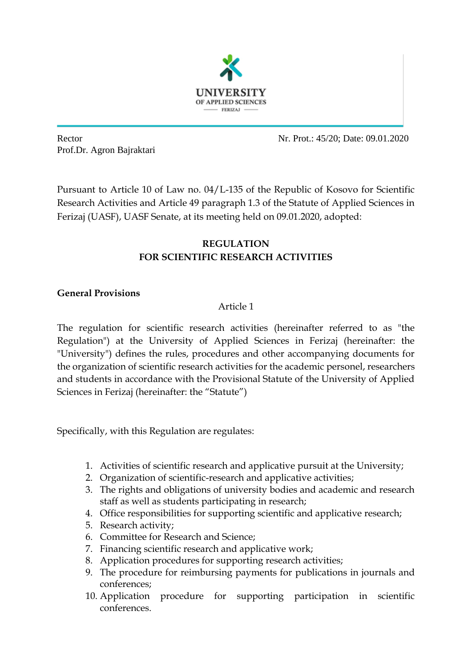

Prof.Dr. Agron Bajraktari

Rector Nr. Prot.: 45/20: Date: 09.01.2020

Pursuant to Article 10 of Law no. 04/L-135 of the Republic of Kosovo for Scientific Research Activities and Article 49 paragraph 1.3 of the Statute of Applied Sciences in Ferizaj (UASF), UASF Senate, at its meeting held on 09.01.2020, adopted:

# **REGULATION FOR SCIENTIFIC RESEARCH ACTIVITIES**

## **General Provisions**

## Article 1

The regulation for scientific research activities (hereinafter referred to as "the Regulation") at the University of Applied Sciences in Ferizaj (hereinafter: the "University") defines the rules, procedures and other accompanying documents for the organization of scientific research activities for the academic personel, researchers and students in accordance with the Provisional Statute of the University of Applied Sciences in Ferizaj (hereinafter: the "Statute")

Specifically, with this Regulation are regulates:

- 1. Activities of scientific research and applicative pursuit at the University;
- 2. Organization of scientific-research and applicative activities;
- 3. The rights and obligations of university bodies and academic and research staff as well as students participating in research;
- 4. Office responsibilities for supporting scientific and applicative research;
- 5. Research activity;
- 6. Committee for Research and Science;
- 7. Financing scientific research and applicative work;
- 8. Application procedures for supporting research activities;
- 9. The procedure for reimbursing payments for publications in journals and conferences;
- 10. Application procedure for supporting participation in scientific conferences.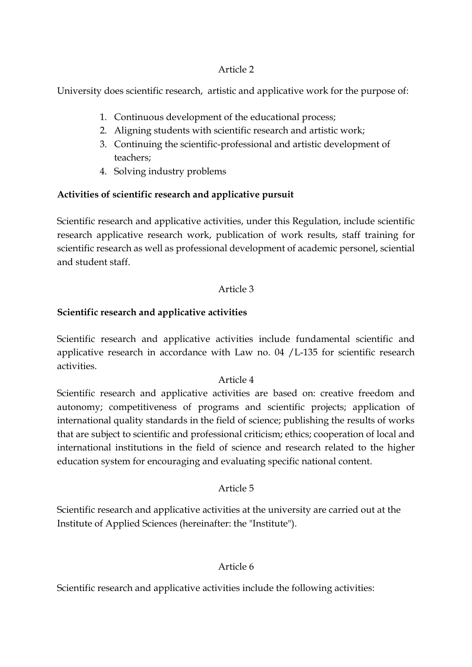#### Article 2

University does scientific research, artistic and applicative work for the purpose of:

- 1. Continuous development of the educational process;
- 2. Aligning students with scientific research and artistic work;
- 3. Continuing the scientific-professional and artistic development of teachers;
- 4. Solving industry problems

## **Activities of scientific research and applicative pursuit**

Scientific research and applicative activities, under this Regulation, include scientific research applicative research work, publication of work results, staff training for scientific research as well as professional development of academic personel, sciential and student staff.

## Article 3

## **Scientific research and applicative activities**

Scientific research and applicative activities include fundamental scientific and applicative research in accordance with Law no. 04 /L-135 for scientific research activities.

## Article 4

Scientific research and applicative activities are based on: creative freedom and autonomy; competitiveness of programs and scientific projects; application of international quality standards in the field of science; publishing the results of works that are subject to scientific and professional criticism; ethics; cooperation of local and international institutions in the field of science and research related to the higher education system for encouraging and evaluating specific national content.

## Article 5

Scientific research and applicative activities at the university are carried out at the Institute of Applied Sciences (hereinafter: the "Institute").

## Article 6

Scientific research and applicative activities include the following activities: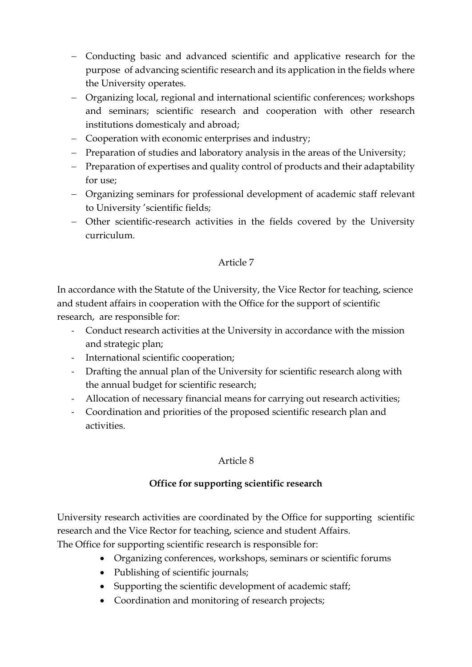- Conducting basic and advanced scientific and applicative research for the purpose of advancing scientific research and its application in the fields where the University operates.
- Organizing local, regional and international scientific conferences; workshops and seminars; scientific research and cooperation with other research institutions domesticaly and abroad;
- Cooperation with economic enterprises and industry;
- Preparation of studies and laboratory analysis in the areas of the University;
- Preparation of expertises and quality control of products and their adaptability for use;
- Organizing seminars for professional development of academic staff relevant to University 'scientific fields;
- Other scientific-research activities in the fields covered by the University curriculum.

## Article 7

In accordance with the Statute of the University, the Vice Rector for teaching, science and student affairs in cooperation with the Office for the support of scientific research, are responsible for:

- Conduct research activities at the University in accordance with the mission and strategic plan;
- International scientific cooperation;
- Drafting the annual plan of the University for scientific research along with the annual budget for scientific research;
- Allocation of necessary financial means for carrying out research activities;
- Coordination and priorities of the proposed scientific research plan and activities.

## Article 8

## **Office for supporting scientific research**

University research activities are coordinated by the Office for supporting scientific research and the Vice Rector for teaching, science and student Affairs.

The Office for supporting scientific research is responsible for:

- Organizing conferences, workshops, seminars or scientific forums
- Publishing of scientific journals;
- Supporting the scientific development of academic staff;
- Coordination and monitoring of research projects;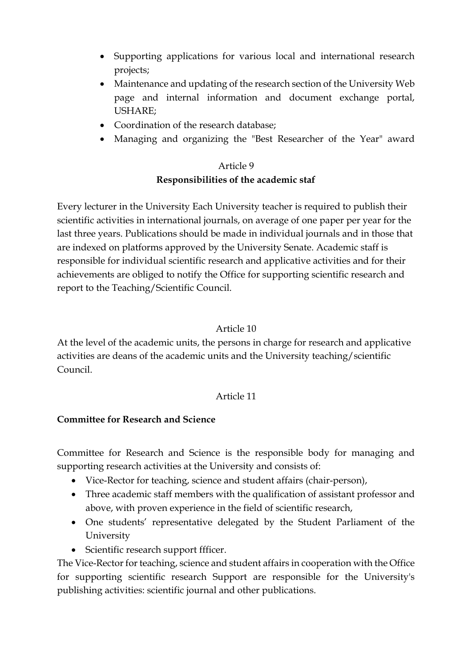- Supporting applications for various local and international research projects;
- Maintenance and updating of the research section of the University Web page and internal information and document exchange portal, USHARE;
- Coordination of the research database;
- Managing and organizing the "Best Researcher of the Year" award

# Article 9 **Responsibilities of the academic staf**

Every lecturer in the University Each University teacher is required to publish their scientific activities in international journals, on average of one paper per year for the last three years. Publications should be made in individual journals and in those that are indexed on platforms approved by the University Senate. Academic staff is responsible for individual scientific research and applicative activities and for their achievements are obliged to notify the Office for supporting scientific research and report to the Teaching/Scientific Council.

#### Article 10

At the level of the academic units, the persons in charge for research and applicative activities are deans of the academic units and the University teaching/scientific Council.

#### Article 11

#### **Committee for Research and Science**

Committee for Research and Science is the responsible body for managing and supporting research activities at the University and consists of:

- Vice-Rector for teaching, science and student affairs (chair-person),
- Three academic staff members with the qualification of assistant professor and above, with proven experience in the field of scientific research,
- One students' representative delegated by the Student Parliament of the University
- Scientific research support ffficer.

The Vice-Rector for teaching, science and student affairs in cooperation with the Office for supporting scientific research Support are responsible for the University's publishing activities: scientific journal and other publications.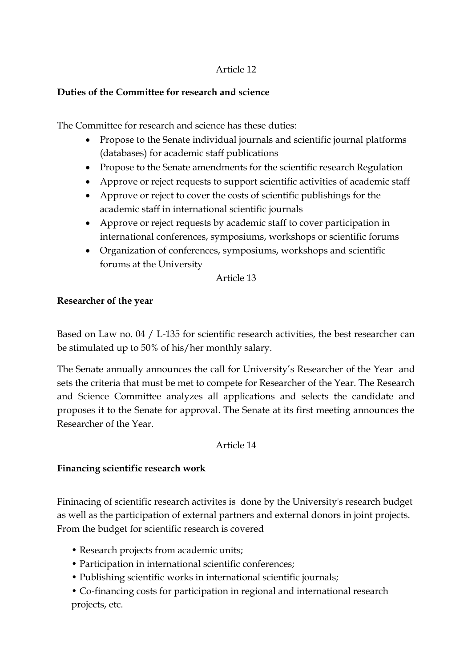## Article 12

## **Duties of the Committee for research and science**

The Committee for research and science has these duties:

- Propose to the Senate individual journals and scientific journal platforms (databases) for academic staff publications
- Propose to the Senate amendments for the scientific research Regulation
- Approve or reject requests to support scientific activities of academic staff
- Approve or reject to cover the costs of scientific publishings for the academic staff in international scientific journals
- Approve or reject requests by academic staff to cover participation in international conferences, symposiums, workshops or scientific forums
- Organization of conferences, symposiums, workshops and scientific forums at the University

#### Article 13

#### **Researcher of the year**

Based on Law no. 04 / L-135 for scientific research activities, the best researcher can be stimulated up to 50% of his/her monthly salary.

The Senate annually announces the call for University's Researcher of the Year and sets the criteria that must be met to compete for Researcher of the Year. The Research and Science Committee analyzes all applications and selects the candidate and proposes it to the Senate for approval. The Senate at its first meeting announces the Researcher of the Year.

#### Article 14

## **Financing scientific research work**

Fininacing of scientific research activites is done by the University's research budget as well as the participation of external partners and external donors in joint projects. From the budget for scientific research is covered

- Research projects from academic units;
- Participation in international scientific conferences;
- Publishing scientific works in international scientific journals;
- Co-financing costs for participation in regional and international research projects, etc.